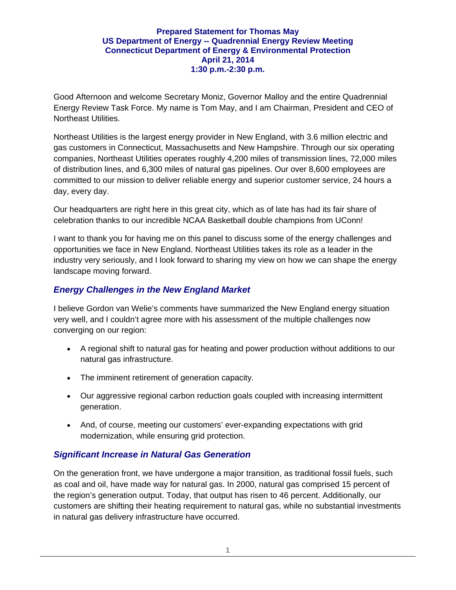#### **Prepared Statement for Thomas May US Department of Energy -- Quadrennial Energy Review Meeting Connecticut Department of Energy & Environmental Protection April 21, 2014 1:30 p.m.-2:30 p.m.**

Good Afternoon and welcome Secretary Moniz, Governor Malloy and the entire Quadrennial Energy Review Task Force. My name is Tom May, and I am Chairman, President and CEO of Northeast Utilities.

Northeast Utilities is the largest energy provider in New England, with 3.6 million electric and gas customers in Connecticut, Massachusetts and New Hampshire. Through our six operating companies, Northeast Utilities operates roughly 4,200 miles of transmission lines, 72,000 miles of distribution lines, and 6,300 miles of natural gas pipelines. Our over 8,600 employees are committed to our mission to deliver reliable energy and superior customer service, 24 hours a day, every day.

Our headquarters are right here in this great city, which as of late has had its fair share of celebration thanks to our incredible NCAA Basketball double champions from UConn!

I want to thank you for having me on this panel to discuss some of the energy challenges and opportunities we face in New England. Northeast Utilities takes its role as a leader in the industry very seriously, and I look forward to sharing my view on how we can shape the energy landscape moving forward.

#### *Energy Challenges in the New England Market*

I believe Gordon van Welie's comments have summarized the New England energy situation very well, and I couldn't agree more with his assessment of the multiple challenges now converging on our region:

- A regional shift to natural gas for heating and power production without additions to our natural gas infrastructure.
- The imminent retirement of generation capacity.
- Our aggressive regional carbon reduction goals coupled with increasing intermittent generation.
- And, of course, meeting our customers' ever-expanding expectations with grid modernization, while ensuring grid protection.

#### *Significant Increase in Natural Gas Generation*

On the generation front, we have undergone a major transition, as traditional fossil fuels, such as coal and oil, have made way for natural gas. In 2000, natural gas comprised 15 percent of the region's generation output. Today, that output has risen to 46 percent. Additionally, our customers are shifting their heating requirement to natural gas, while no substantial investments in natural gas delivery infrastructure have occurred.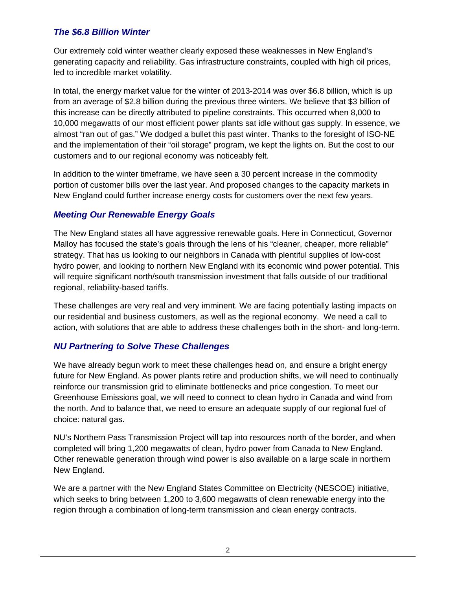## *The \$6.8 Billion Winter*

Our extremely cold winter weather clearly exposed these weaknesses in New England's generating capacity and reliability. Gas infrastructure constraints, coupled with high oil prices, led to incredible market volatility.

In total, the energy market value for the winter of 2013-2014 was over \$6.8 billion, which is up from an average of \$2.8 billion during the previous three winters. We believe that \$3 billion of this increase can be directly attributed to pipeline constraints. This occurred when 8,000 to 10,000 megawatts of our most efficient power plants sat idle without gas supply. In essence, we almost "ran out of gas." We dodged a bullet this past winter. Thanks to the foresight of ISO-NE and the implementation of their "oil storage" program, we kept the lights on. But the cost to our customers and to our regional economy was noticeably felt.

In addition to the winter timeframe, we have seen a 30 percent increase in the commodity portion of customer bills over the last year. And proposed changes to the capacity markets in New England could further increase energy costs for customers over the next few years.

### *Meeting Our Renewable Energy Goals*

The New England states all have aggressive renewable goals. Here in Connecticut, Governor Malloy has focused the state's goals through the lens of his "cleaner, cheaper, more reliable" strategy. That has us looking to our neighbors in Canada with plentiful supplies of low-cost hydro power, and looking to northern New England with its economic wind power potential. This will require significant north/south transmission investment that falls outside of our traditional regional, reliability-based tariffs.

These challenges are very real and very imminent. We are facing potentially lasting impacts on our residential and business customers, as well as the regional economy. We need a call to action, with solutions that are able to address these challenges both in the short- and long-term.

### *NU Partnering to Solve These Challenges*

We have already begun work to meet these challenges head on, and ensure a bright energy future for New England. As power plants retire and production shifts, we will need to continually reinforce our transmission grid to eliminate bottlenecks and price congestion. To meet our Greenhouse Emissions goal, we will need to connect to clean hydro in Canada and wind from the north. And to balance that, we need to ensure an adequate supply of our regional fuel of choice: natural gas.

NU's Northern Pass Transmission Project will tap into resources north of the border, and when completed will bring 1,200 megawatts of clean, hydro power from Canada to New England. Other renewable generation through wind power is also available on a large scale in northern New England.

We are a partner with the New England States Committee on Electricity (NESCOE) initiative, which seeks to bring between 1,200 to 3,600 megawatts of clean renewable energy into the region through a combination of long-term transmission and clean energy contracts.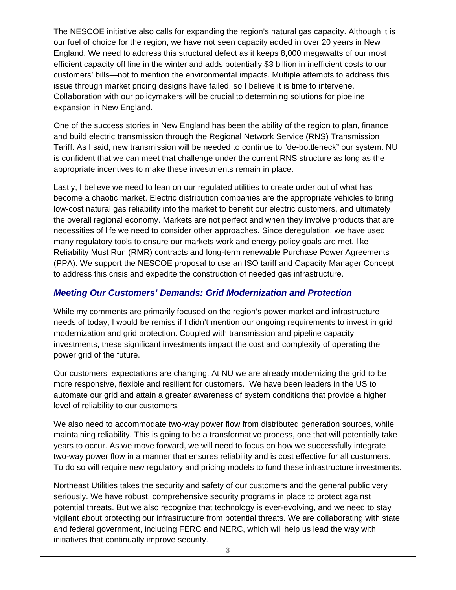The NESCOE initiative also calls for expanding the region's natural gas capacity. Although it is our fuel of choice for the region, we have not seen capacity added in over 20 years in New England. We need to address this structural defect as it keeps 8,000 megawatts of our most efficient capacity off line in the winter and adds potentially \$3 billion in inefficient costs to our customers' bills—not to mention the environmental impacts. Multiple attempts to address this issue through market pricing designs have failed, so I believe it is time to intervene. Collaboration with our policymakers will be crucial to determining solutions for pipeline expansion in New England.

One of the success stories in New England has been the ability of the region to plan, finance and build electric transmission through the Regional Network Service (RNS) Transmission Tariff. As I said, new transmission will be needed to continue to "de-bottleneck" our system. NU is confident that we can meet that challenge under the current RNS structure as long as the appropriate incentives to make these investments remain in place.

Lastly, I believe we need to lean on our regulated utilities to create order out of what has become a chaotic market. Electric distribution companies are the appropriate vehicles to bring low-cost natural gas reliability into the market to benefit our electric customers, and ultimately the overall regional economy. Markets are not perfect and when they involve products that are necessities of life we need to consider other approaches. Since deregulation, we have used many regulatory tools to ensure our markets work and energy policy goals are met, like Reliability Must Run (RMR) contracts and long-term renewable Purchase Power Agreements (PPA). We support the NESCOE proposal to use an ISO tariff and Capacity Manager Concept to address this crisis and expedite the construction of needed gas infrastructure.

### *Meeting Our Customers' Demands: Grid Modernization and Protection*

While my comments are primarily focused on the region's power market and infrastructure needs of today, I would be remiss if I didn't mention our ongoing requirements to invest in grid modernization and grid protection. Coupled with transmission and pipeline capacity investments, these significant investments impact the cost and complexity of operating the power grid of the future.

Our customers' expectations are changing. At NU we are already modernizing the grid to be more responsive, flexible and resilient for customers. We have been leaders in the US to automate our grid and attain a greater awareness of system conditions that provide a higher level of reliability to our customers.

We also need to accommodate two-way power flow from distributed generation sources, while maintaining reliability. This is going to be a transformative process, one that will potentially take years to occur. As we move forward, we will need to focus on how we successfully integrate two-way power flow in a manner that ensures reliability and is cost effective for all customers. To do so will require new regulatory and pricing models to fund these infrastructure investments.

Northeast Utilities takes the security and safety of our customers and the general public very seriously. We have robust, comprehensive security programs in place to protect against potential threats. But we also recognize that technology is ever-evolving, and we need to stay vigilant about protecting our infrastructure from potential threats. We are collaborating with state and federal government, including FERC and NERC, which will help us lead the way with initiatives that continually improve security.